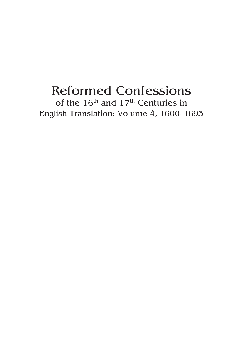## Reformed Confessions of the 16<sup>th</sup> and 17<sup>th</sup> Centuries in English Translation: Volume 4, 1600–1693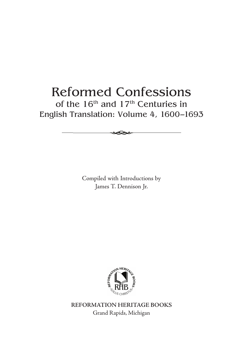## Reformed Confessions of the  $16<sup>th</sup>$  and  $17<sup>th</sup>$  Centuries in English Translation: Volume 4, 1600–1693

Compiled with Introductions by James T. Dennison Jr.



**REFORMATION HERITAGE BOOKS** Grand Rapids, Michigan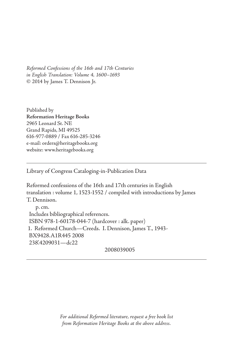*Reformed Confessions of the 16th and 17th Centuries in English Translation: Volume 4, 1600–1693* © 2014 by James T. Dennison Jr.

Published by **Reformation Heritage Books** 2965 Leonard St. NE Grand Rapids, MI 49525 616-977-0889 / Fax 616-285-3246 e-mail: orders@heritagebooks.org website: www.heritagebooks.org

Library of Congress Cataloging-in-Publication Data

Reformed confessions of the 16th and 17th centuries in English translation : volume 1, 1523-1552 / compiled with introductions by James T. Dennison. p. cm. Includes bibliographical references. ISBN 978-1-60178-044-7 (hardcover : alk. paper) 1. Reformed Church—Creeds. I. Dennison, James T., 1943- BX9428.A1R445 2008 238'.4209031—dc22

2008039005

*For additional Reformed literature, request a free book list from Reformation Heritage Books at the above address.*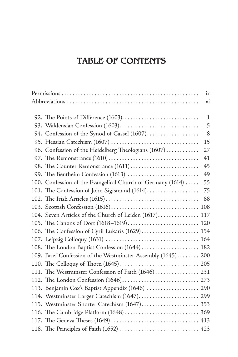### **TABLE OF CONTENTS**

|  | 92. The Points of Difference (1603)                          | 1   |
|--|--------------------------------------------------------------|-----|
|  | 93. Waldensian Confession (1603)                             | 5   |
|  | 94. Confession of the Synod of Cassel (1607)                 | 8   |
|  |                                                              | 15  |
|  | 96. Confession of the Heidelberg Theologians (1607)          | 27  |
|  |                                                              | 41  |
|  | 98. The Counter Remonstrance (1611)                          | 45  |
|  | 99. The Bentheim Confession (1613)                           | 49  |
|  | 100. Confession of the Evangelical Church of Germany (1614)  | 55  |
|  | 101. The Confession of John Sigismund (1614)                 | 75  |
|  |                                                              | 88  |
|  |                                                              | 108 |
|  | 104. Seven Articles of the Church of Leiden (1617) 117       |     |
|  |                                                              |     |
|  | 106. The Confession of Cyril Lukaris (1629) 154              |     |
|  |                                                              |     |
|  | 108. The London Baptist Confession (1644)  182               |     |
|  | 109. Brief Confession of the Westminster Assembly (1645) 200 |     |
|  |                                                              |     |
|  | 111. The Westminster Confession of Faith (1646) 231          |     |
|  |                                                              |     |
|  | 113. Benjamin Cox's Baptist Appendix (1646)  290             |     |
|  | 114. Westminster Larger Catechism (1647) 299                 |     |
|  | 115. Westminster Shorter Catechism (1647) 353                |     |
|  |                                                              |     |
|  |                                                              |     |
|  | 118. The Principles of Faith (1652)  423                     |     |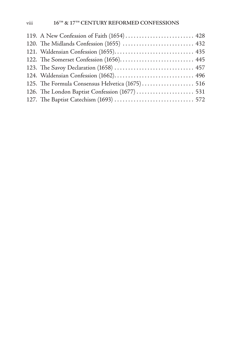#### viii **16<sup>TH</sup> & 17<sup>TH</sup> CENTURY REFORMED CONFESSIONS**

| 119. A New Confession of Faith (1654)  428      |  |
|-------------------------------------------------|--|
| 120. The Midlands Confession (1655)  432        |  |
| 121. Waldensian Confession (1655) 435           |  |
| 122. The Somerset Confession (1656) 445         |  |
| 123. The Savoy Declaration (1658)  457          |  |
| 124. Waldensian Confession (1662) 496           |  |
| 125. The Formula Consensus Helvetica (1675) 516 |  |
| 126. The London Baptist Confession (1677)  531  |  |
|                                                 |  |
|                                                 |  |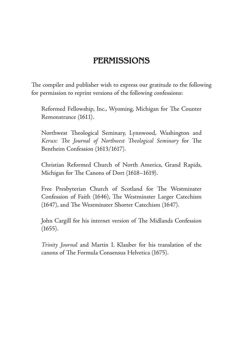#### **PERMISSIONS**

The compiler and publisher wish to express our gratitude to the following for permission to reprint versions of the following confessions:

Reformed Fellowship, Inc., Wyoming, Michigan for The Counter Remonstrance (1611).

Northwest Theological Seminary, Lynnwood, Washington and *Kerux: The Journal of Northwest Theological Seminary* for The Bentheim Confession (1613/1617).

Christian Reformed Church of North America, Grand Rapids, Michigan for The Canons of Dort (1618–1619).

Free Presbyterian Church of Scotland for The Westminster Confession of Faith (1646), The Westminster Larger Catechism (1647), and The Westminster Shorter Catechism (1647).

John Cargill for his internet version of The Midlands Confession  $(1655).$ 

*Trinity Journal* and Martin I. Klauber for his translation of the canons of The Formula Consensus Helvetica (1675).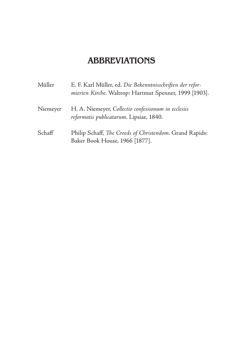#### **ABBREVIATIONS**

| Müller   | E. F. Karl Müller, ed. Die Bekenntnisschriften der refor-<br>mierten Kirche. Waltrop: Hartmut Spenner, 1999 [1903]. |
|----------|---------------------------------------------------------------------------------------------------------------------|
| Niemeyer | H. A. Niemeyer, Collectio confessionum in ecclesiis<br>reformatis publicatarum. Lipsiae, 1840.                      |
| Schaff   | Philip Schaff, The Creeds of Christendom. Grand Rapids:<br>Baker Book House, 1966 [1877].                           |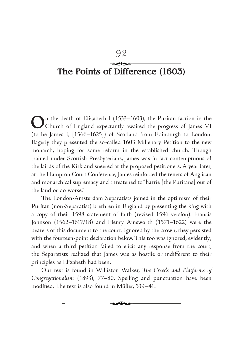# 92 **The Points of Difference (1603)**

On the death of Elizabeth I (1533–1603), the Puritan faction in the Church of England expectantly awaited the progress of James VI (to be James I, [1566–1625]) of Scotland from Edinburgh to London. Eagerly they presented the so-called 1603 Millenary Petition to the new monarch, hoping for some reform in the established church. Though trained under Scottish Presbyterians, James was in fact contemptuous of the lairds of the Kirk and sneered at the proposed petitioners. A year later, at the Hampton Court Conference, James reinforced the tenets of Anglican and monarchical supremacy and threatened to "harrie [the Puritans] out of the land or do worse."

The London-Amsterdam Separatists joined in the optimism of their Puritan (non-Separatist) brethren in England by presenting the king with a copy of their 1598 statement of faith (revised 1596 version). Francis Johnson (1562–1617/18) and Henry Ainsworth (1571–1622) were the bearers of this document to the court. Ignored by the crown, they persisted with the fourteen-point declaration below. This too was ignored, evidently; and when a third petition failed to elicit any response from the court, the Separatists realized that James was as hostile or indifferent to their principles as Elizabeth had been.

Our text is found in Williston Walker, *The Creeds and Platforms of Congregationalism* (1893), 77–80. Spelling and punctuation have been modified. The text is also found in Müller, 539–41.

◚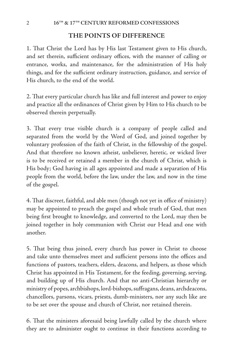#### **The Points of Difference**

1. That Christ the Lord has by His last Testament given to His church, and set therein, sufficient ordinary offices, with the manner of calling or entrance, works, and maintenance, for the administration of His holy things, and for the sufficient ordinary instruction, guidance, and service of His church, to the end of the world.

2. That every particular church has like and full interest and power to enjoy and practice all the ordinances of Christ given by Him to His church to be observed therein perpetually.

3. That every true visible church is a company of people called and separated from the world by the Word of God, and joined together by voluntary profession of the faith of Christ, in the fellowship of the gospel. And that therefore no known atheist, unbeliever, heretic, or wicked liver is to be received or retained a member in the church of Christ, which is His body; God having in all ages appointed and made a separation of His people from the world, before the law, under the law, and now in the time of the gospel.

4. That discreet, faithful, and able men (though not yet in office of ministry) may be appointed to preach the gospel and whole truth of God, that men being first brought to knowledge, and converted to the Lord, may then be joined together in holy communion with Christ our Head and one with another.

5. That being thus joined, every church has power in Christ to choose and take unto themselves meet and sufficient persons into the offices and functions of pastors, teachers, elders, deacons, and helpers, as those which Christ has appointed in His Testament, for the feeding, governing, serving, and building up of His church. And that no anti-Christian hierarchy or ministry of popes, archbishops, lord-bishops, suffragans, deans, archdeacons, chancellors, parsons, vicars, priests, dumb-ministers, nor any such like are to be set over the spouse and church of Christ, nor retained therein.

6. That the ministers aforesaid being lawfully called by the church where they are to administer ought to continue in their functions according to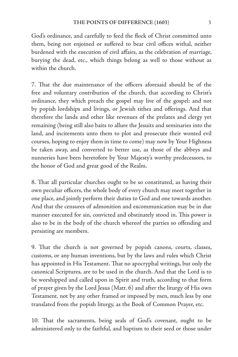God's ordinance, and carefully to feed the flock of Christ committed unto them, being not enjoined or suffered to bear civil offices withal, neither burdened with the execution of civil affairs, as the celebration of marriage, burying the dead, etc., which things belong as well to those without as within the church.

7. That the due maintenance of the officers aforesaid should be of the free and voluntary contribution of the church, that according to Christ's ordinance, they which preach the gospel may live of the gospel: and not by popish lordships and livings, or Jewish tithes and offerings. And that therefore the lands and other like revenues of the prelates and clergy yet remaining (being still also baits to allure the Jesuits and seminaries into the land, and incitements unto them to plot and prosecute their wonted evil courses, hoping to enjoy them in time to come) may now by Your Highness be taken away, and converted to better use, as those of the abbeys and nunneries have been heretofore by Your Majesty's worthy predecessors, to the honor of God and great good of the Realm.

8. That all particular churches ought to be so constituted, as having their own peculiar officers, the whole body of every church may meet together in one place, and jointly perform their duties to God and one towards another. And that the censures of admonition and excommunication may be in due manner executed for sin, convicted and obstinately stood in. This power is also to be in the body of the church whereof the parties so offending and persisting are members.

9. That the church is not governed by popish canons, courts, classes, customs, or any human inventions, but by the laws and rules which Christ has appointed in His Testament. That no apocryphal writings, but only the canonical Scriptures, are to be used in the church. And that the Lord is to be worshipped and called upon in Spirit and truth, according to that form of prayer given by the Lord Jesus (Matt. 6) and after the liturgy of His own Testament, not by any other framed or imposed by men, much less by one translated from the popish liturgy, as the Book of Common Prayer, etc.

10. That the sacraments, being seals of God's covenant, ought to be administered only to the faithful, and baptism to their seed or those under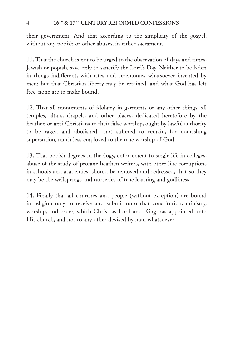their government. And that according to the simplicity of the gospel, without any popish or other abuses, in either sacrament.

11. That the church is not to be urged to the observation of days and times, Jewish or popish, save only to sanctify the Lord's Day. Neither to be laden in things indifferent, with rites and ceremonies whatsoever invented by men; but that Christian liberty may be retained, and what God has left free, none are to make bound.

12. That all monuments of idolatry in garments or any other things, all temples, altars, chapels, and other places, dedicated heretofore by the heathen or anti-Christians to their false worship, ought by lawful authority to be razed and abolished—not suffered to remain, for nourishing superstition, much less employed to the true worship of God.

13. That popish degrees in theology, enforcement to single life in colleges, abuse of the study of profane heathen writers, with other like corruptions in schools and academies, should be removed and redressed, that so they may be the wellsprings and nurseries of true learning and godliness.

14. Finally that all churches and people (without exception) are bound in religion only to receive and submit unto that constitution, ministry, worship, and order, which Christ as Lord and King has appointed unto His church, and not to any other devised by man whatsoever.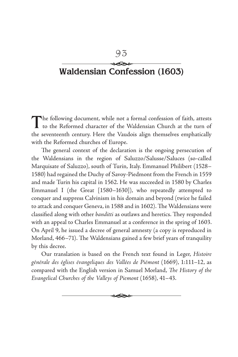# 93 **Waldensian Confession (1603)**

The following document, while not a formal confession of faith, attests to the Reformed character of the Waldensian Church at the turn of the seventeenth century. Here the Vaudois align themselves emphatically with the Reformed churches of Europe.

The general context of the declaration is the ongoing persecution of the Waldensians in the region of Saluzzo/Salusse/Saluces (so-called Marquisate of Saluzzo), south of Turin, Italy. Emmanuel Philibert (1528– 1580) had regained the Duchy of Savoy-Piedmont from the French in 1559 and made Turin his capital in 1562. He was succeeded in 1580 by Charles Emmanuel I (the Great [1580–1630]), who repeatedly attempted to conquer and suppress Calvinism in his domain and beyond (twice he failed to attack and conquer Geneva, in 1588 and in 1602). The Waldensians were classified along with other *banditti* as outlaws and heretics. They responded with an appeal to Charles Emmanuel at a conference in the spring of 1603. On April 9, he issued a decree of general amnesty (a copy is reproduced in Morland, 466–71). The Waldensians gained a few brief years of tranquility by this decree.

Our translation is based on the French text found in Leger, *Histoire générale des églises évangeliques des Vallées de Piémont* (1669), 1:111–12, as compared with the English version in Samuel Morland, *The History of the Evangelical Churches of the Valleys of Piemont* (1658), 41–43.

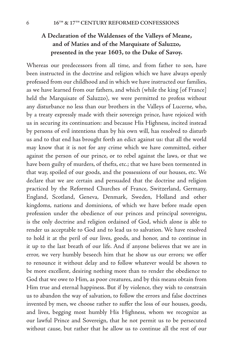#### **A Declaration of the Waldenses of the Valleys of Meane, and of Maties and of the Marquisate of Saluzzo, presented in the year 1603, to the Duke of Savoy.**

Whereas our predecessors from all time, and from father to son, have been instructed in the doctrine and religion which we have always openly professed from our childhood and in which we have instructed our families, as we have learned from our fathers, and which (while the king [of France] held the Marquisate of Saluzzo), we were permitted to profess without any disturbance no less than our brothers in the Valleys of Lucerne, who, by a treaty expressly made with their sovereign prince, have rejoiced with us in securing its continuation: and because His Highness, incited instead by persons of evil intentions than by his own will, has resolved to disturb us and to that end has brought forth an edict against us: that all the world may know that it is not for any crime which we have committed, either against the person of our prince, or to rebel against the laws, or that we have been guilty of murders, of thefts, etc.; that we have been tormented in that way, spoiled of our goods, and the possessions of our houses, etc. We declare that we are certain and persuaded that the doctrine and religion practiced by the Reformed Churches of France, Switzerland, Germany, England, Scotland, Geneva, Denmark, Sweden, Holland and other kingdoms, nations and dominions, of which we have before made open profession under the obedience of our princes and principal sovereigns, is the only doctrine and religion ordained of God, which alone is able to render us acceptable to God and to lead us to salvation. We have resolved to hold it at the peril of our lives, goods, and honor, and to continue in it up to the last breath of our life. And if anyone believes that we are in error, we very humbly beseech him that he show us our errors; we offer to renounce it without delay and to follow whatever would be shown to be more excellent, desiring nothing more than to render the obedience to God that we owe to Him, as poor creatures, and by this means obtain from Him true and eternal happiness. But if by violence, they wish to constrain us to abandon the way of salvation, to follow the errors and false doctrines invented by men, we choose rather to suffer the loss of our houses, goods, and lives, begging most humbly His Highness, whom we recognize as our lawful Prince and Sovereign, that he not permit us to be persecuted without cause, but rather that he allow us to continue all the rest of our